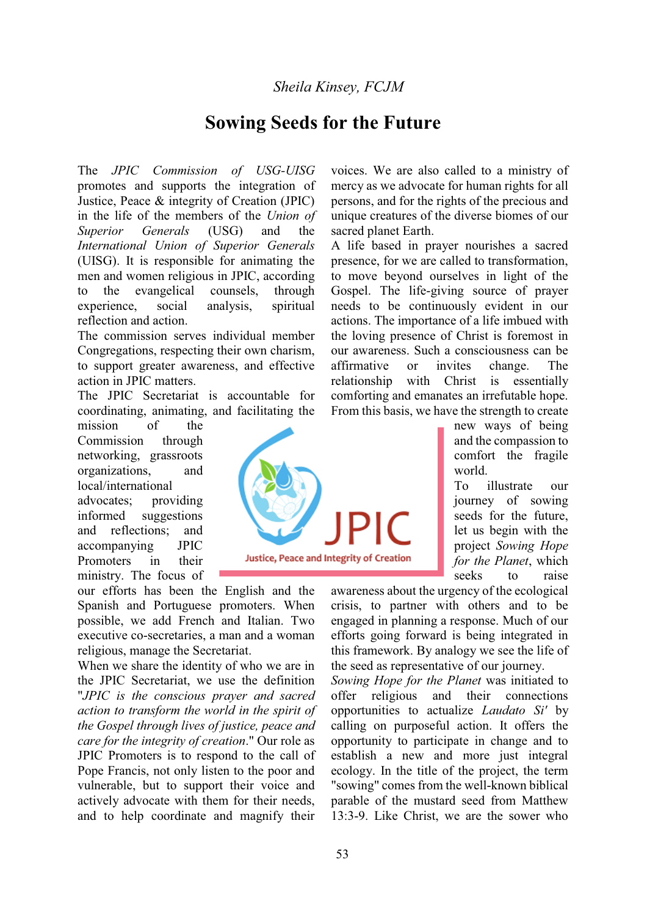# *Sheila Kinsey, FCJM*

# **Sowing Seeds for the Future**

The *JPIC Commission of USG-UISG* promotes and supports the integration of Justice, Peace & integrity of Creation (JPIC) in the life of the members of the *Union of Superior Generals* (USG) and the *International Union of Superior Generals* (UISG). It is responsible for animating the men and women religious in JPIC, according to the evangelical counsels, through experience, social analysis, spiritual reflection and action.

The commission serves individual member Congregations, respecting their own charism, to support greater awareness, and effective action in JPIC matters.

The JPIC Secretariat is accountable for coordinating, animating, and facilitating the

mission of the Commission through networking, grassroots organizations, and local/international advocates; providing informed suggestions and reflections; and accompanying JPIC Promoters in their ministry. The focus of

our efforts has been the English and the Spanish and Portuguese promoters. When possible, we add French and Italian. Two executive co-secretaries, a man and a woman religious, manage the Secretariat.

When we share the identity of who we are in the JPIC Secretariat, we use the definition "*JPIC is the conscious prayer and sacred action to transform the world in the spirit of the Gospel through lives of justice, peace and care for the integrity of creation*." Our role as JPIC Promoters is to respond to the call of Pope Francis, not only listen to the poor and vulnerable, but to support their voice and actively advocate with them for their needs, and to help coordinate and magnify their

**Justice, Peace and Integrity of Creation** 

voices. We are also called to a ministry of mercy as we advocate for human rights for all persons, and for the rights of the precious and unique creatures of the diverse biomes of our sacred planet Earth.

A life based in prayer nourishes a sacred presence, for we are called to transformation, to move beyond ourselves in light of the Gospel. The life-giving source of prayer needs to be continuously evident in our actions. The importance of a life imbued with the loving presence of Christ is foremost in our awareness. Such a consciousness can be affirmative or invites change. The relationship with Christ is essentially comforting and emanates an irrefutable hope. From this basis, we have the strength to create

> new ways of being and the compassion to comfort the fragile world.

To illustrate our journey of sowing seeds for the future, let us begin with the project *Sowing Hope for the Planet*, which seeks to raise

awareness about the urgency of the ecological crisis, to partner with others and to be engaged in planning a response. Much of our efforts going forward is being integrated in this framework. By analogy we see the life of the seed as representative of our journey.

*Sowing Hope for the Planet* was initiated to offer religious and their connections opportunities to actualize *Laudato Si'* by calling on purposeful action. It offers the opportunity to participate in change and to establish a new and more just integral ecology. In the title of the project, the term "sowing" comes from the well-known biblical parable of the mustard seed from Matthew 13:3-9. Like Christ, we are the sower who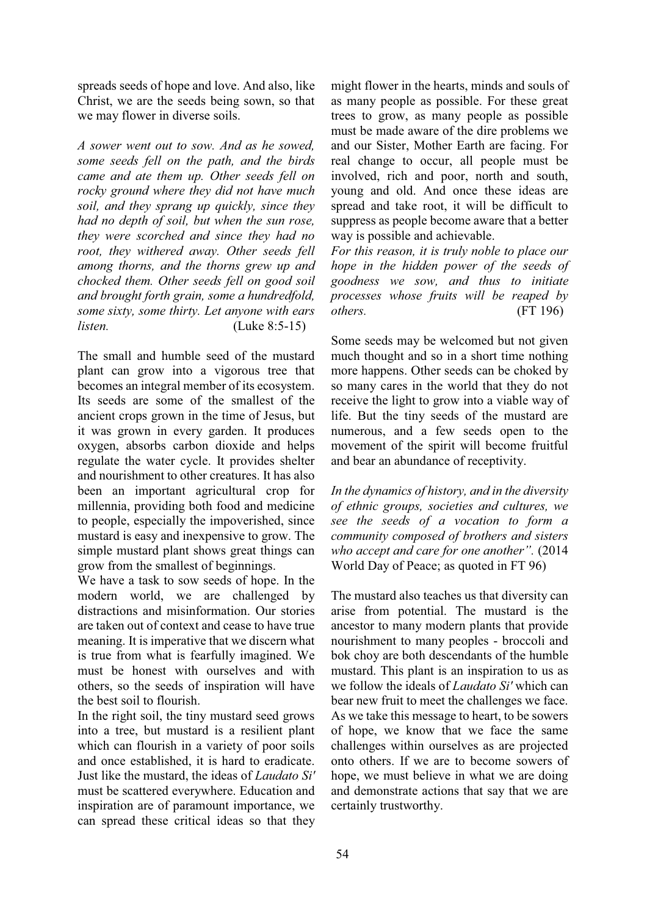spreads seeds of hope and love. And also, like Christ, we are the seeds being sown, so that we may flower in diverse soils.

*A sower went out to sow. And as he sowed, some seeds fell on the path, and the birds came and ate them up. Other seeds fell on rocky ground where they did not have much soil, and they sprang up quickly, since they had no depth of soil, but when the sun rose, they were scorched and since they had no root, they withered away. Other seeds fell among thorns, and the thorns grew up and chocked them. Other seeds fell on good soil and brought forth grain, some a hundredfold, some sixty, some thirty. Let anyone with ears listen.* (Luke 8:5-15)

The small and humble seed of the mustard plant can grow into a vigorous tree that becomes an integral member of its ecosystem. Its seeds are some of the smallest of the ancient crops grown in the time of Jesus, but it was grown in every garden. It produces oxygen, absorbs carbon dioxide and helps regulate the water cycle. It provides shelter and nourishment to other creatures. It has also been an important agricultural crop for millennia, providing both food and medicine to people, especially the impoverished, since mustard is easy and inexpensive to grow. The simple mustard plant shows great things can grow from the smallest of beginnings.

We have a task to sow seeds of hope. In the modern world, we are challenged by distractions and misinformation. Our stories are taken out of context and cease to have true meaning. It is imperative that we discern what is true from what is fearfully imagined. We must be honest with ourselves and with others, so the seeds of inspiration will have the best soil to flourish.

In the right soil, the tiny mustard seed grows into a tree, but mustard is a resilient plant which can flourish in a variety of poor soils and once established, it is hard to eradicate. Just like the mustard, the ideas of *Laudato Si'* must be scattered everywhere. Education and inspiration are of paramount importance, we can spread these critical ideas so that they might flower in the hearts, minds and souls of as many people as possible. For these great trees to grow, as many people as possible must be made aware of the dire problems we and our Sister, Mother Earth are facing. For real change to occur, all people must be involved, rich and poor, north and south, young and old. And once these ideas are spread and take root, it will be difficult to suppress as people become aware that a better way is possible and achievable.

*For this reason, it is truly noble to place our hope in the hidden power of the seeds of goodness we sow, and thus to initiate processes whose fruits will be reaped by others.* (FT 196)

Some seeds may be welcomed but not given much thought and so in a short time nothing more happens. Other seeds can be choked by so many cares in the world that they do not receive the light to grow into a viable way of life. But the tiny seeds of the mustard are numerous, and a few seeds open to the movement of the spirit will become fruitful and bear an abundance of receptivity.

*In the dynamics of history, and in the diversity of ethnic groups, societies and cultures, we see the seeds of a vocation to form a community composed of brothers and sisters zhowboaccept and care for one another*". (2014) World Day of Peace; as quoted in FT 96)

The mustard also teaches us that diversity can arise from potential. The mustard is the ancestor to many modern plants that provide nourishment to many peoples - broccoli and bok choy are both descendants of the humble mustard. This plant is an inspiration to us as we follow the ideals of *Laudato Si'* which can bear new fruit to meet the challenges we face. As we take this message to heart, to be sowers of hope, we know that we face the same challenges within ourselves as are projected onto others. If we are to become sowers of hope, we must believe in what we are doing and demonstrate actions that say that we are certainly trustworthy.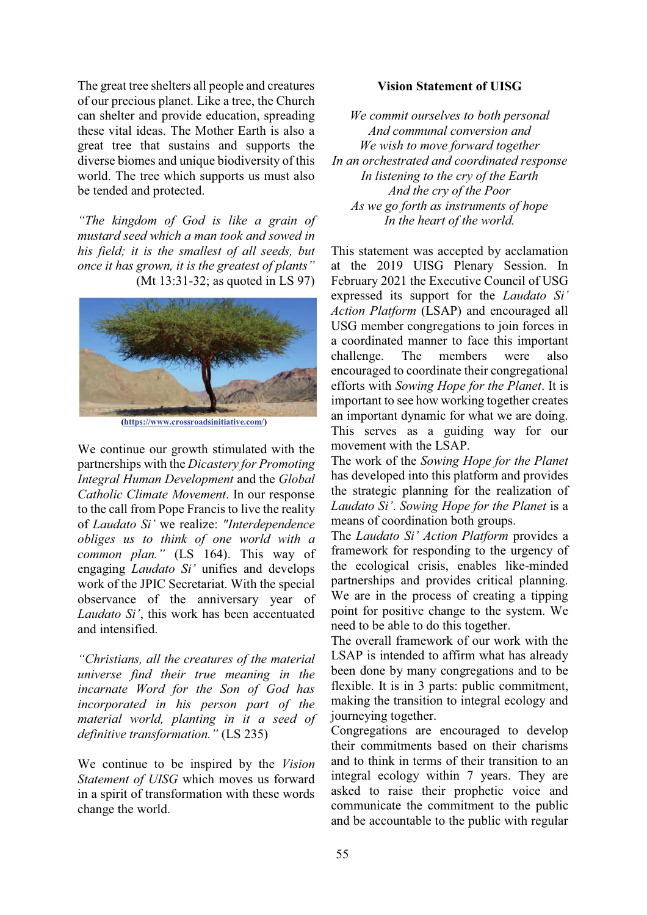The great tree shelters all people and creatures of our precious planet. Like a tree, the Church can shelter and provide education, spreading these vital ideas. The Mother Earth is also a great tree that sustains and supports the diverse biomes and unique biodiversity of this world. The tree which supports us must also be tended and protected.

*a<sub>1</sub>The kingdom of God is like a grain of mustard seed which a man took and sowed in his field; it is the smallest of all seeds, but <u><i>Rance it has grown, it is the greatest of plants*"</u> (Mt 13:31-32; as quoted in LS 97)



 **(https://www.crossroadsinitiative.com/)**

We continue our growth stimulated with the partnerships with the *Dicastery for Promoting Integral Human Development* and the *Global Catholic Climate Movement*. In our response to the call from Pope Francis to live the reality of *Laudato Si'* we realize: "Interdependence *obliges us to think of one world with a common plan.*" (LS 164). This way of engaging *Laudato Si'* unifies and develops work of the JPIC Secretariat. With the special observance of the anniversary year of *Laudato Si'*, this work has been accentuated and intensified.

*³Christians, all the creatures of the material universe find their true meaning in the incarnate Word for the Son of God has incorporated in his person part of the material world, planting in it a seed of definitive transformation.*" (LS 235)

We continue to be inspired by the *Vision Statement of UISG* which moves us forward in a spirit of transformation with these words change the world.

#### **Vision Statement of UISG**

*We commit ourselves to both personal And communal conversion and We wish to move forward together In an orchestrated and coordinated response In listening to the cry of the Earth And the cry of the Poor As we go forth as instruments of hope In the heart of the world.* 

This statement was accepted by acclamation at the 2019 UISG Plenary Session. In February 2021 the Executive Council of USG expressed its support for the *Laudato Si' Action Platform* (LSAP) and encouraged all USG member congregations to join forces in a coordinated manner to face this important challenge. The members were also encouraged to coordinate their congregational efforts with *Sowing Hope for the Planet*. It is important to see how working together creates an important dynamic for what we are doing. This serves as a guiding way for our movement with the LSAP.

The work of the *Sowing Hope for the Planet*  has developed into this platform and provides the strategic planning for the realization of *Laudato Si'.* Sowing Hope for the Planet is a means of coordination both groups.

The *Laudato Si' Action Platform* provides a framework for responding to the urgency of the ecological crisis, enables like-minded partnerships and provides critical planning. We are in the process of creating a tipping point for positive change to the system. We need to be able to do this together.

The overall framework of our work with the LSAP is intended to affirm what has already been done by many congregations and to be flexible. It is in 3 parts: public commitment, making the transition to integral ecology and journeying together.

Congregations are encouraged to develop their commitments based on their charisms and to think in terms of their transition to an integral ecology within 7 years. They are asked to raise their prophetic voice and communicate the commitment to the public and be accountable to the public with regular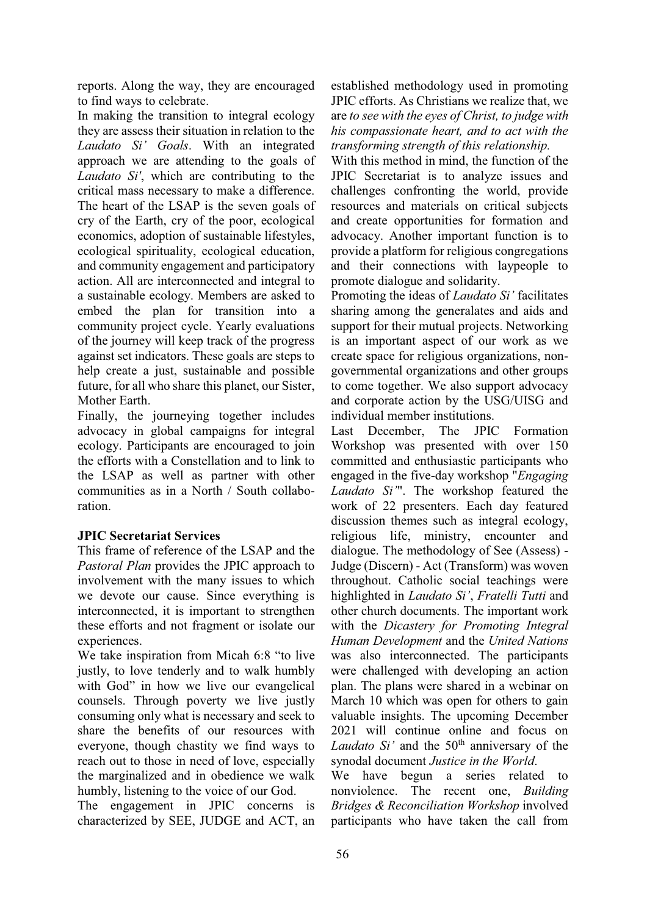reports. Along the way, they are encouraged to find ways to celebrate.

In making the transition to integral ecology they are assess their situation in relation to the *Laudato Si' Goals*. With an integrated approach we are attending to the goals of *Laudato Si'*, which are contributing to the critical mass necessary to make a difference. The heart of the LSAP is the seven goals of cry of the Earth, cry of the poor, ecological economics, adoption of sustainable lifestyles, ecological spirituality, ecological education, and community engagement and participatory action. All are interconnected and integral to a sustainable ecology. Members are asked to embed the plan for transition into a community project cycle. Yearly evaluations of the journey will keep track of the progress against set indicators. These goals are steps to help create a just, sustainable and possible future, for all who share this planet, our Sister, Mother Earth.

Finally, the journeying together includes advocacy in global campaigns for integral ecology. Participants are encouraged to join the efforts with a Constellation and to link to the LSAP as well as partner with other communities as in a North / South collaboration.

## **JPIC Secretariat Services**

This frame of reference of the LSAP and the *Pastoral Plan* provides the JPIC approach to involvement with the many issues to which we devote our cause. Since everything is interconnected, it is important to strengthen these efforts and not fragment or isolate our experiences.

We take inspiration from Micah 6:8 "to live justly, to love tenderly and to walk humbly with God" in how we live our evangelical counsels. Through poverty we live justly consuming only what is necessary and seek to share the benefits of our resources with everyone, though chastity we find ways to reach out to those in need of love, especially the marginalized and in obedience we walk humbly, listening to the voice of our God.

The engagement in JPIC concerns is characterized by SEE, JUDGE and ACT, an established methodology used in promoting JPIC efforts. As Christians we realize that, we are *to see with the eyes of Christ, to judge with his compassionate heart, and to act with the transforming strength of this relationship.*

With this method in mind, the function of the JPIC Secretariat is to analyze issues and challenges confronting the world, provide resources and materials on critical subjects and create opportunities for formation and advocacy. Another important function is to provide a platform for religious congregations and their connections with laypeople to promote dialogue and solidarity.

Promoting the ideas of *Laudato Si'* facilitates sharing among the generalates and aids and support for their mutual projects. Networking is an important aspect of our work as we create space for religious organizations, nongovernmental organizations and other groups to come together. We also support advocacy and corporate action by the USG/UISG and individual member institutions.

Last December, The JPIC Formation Workshop was presented with over 150 committed and enthusiastic participants who engaged in the five-day workshop "*Engaging Laudato Si*". The workshop featured the work of 22 presenters. Each day featured discussion themes such as integral ecology, religious life, ministry, encounter and dialogue. The methodology of See (Assess) - Judge (Discern) - Act (Transform) was woven throughout. Catholic social teachings were highlighted in *Laudato Si'*, *Fratelli Tutti* and other church documents. The important work with the *Dicastery for Promoting Integral Human Development* and the *United Nations* was also interconnected. The participants were challenged with developing an action plan. The plans were shared in a webinar on March 10 which was open for others to gain valuable insights. The upcoming December 2021 will continue online and focus on *Laudato Si'* and the 50<sup>th</sup> anniversary of the synodal document *Justice in the World*.

We have begun a series related to nonviolence. The recent one, *Building Bridges & Reconciliation Workshop* involved participants who have taken the call from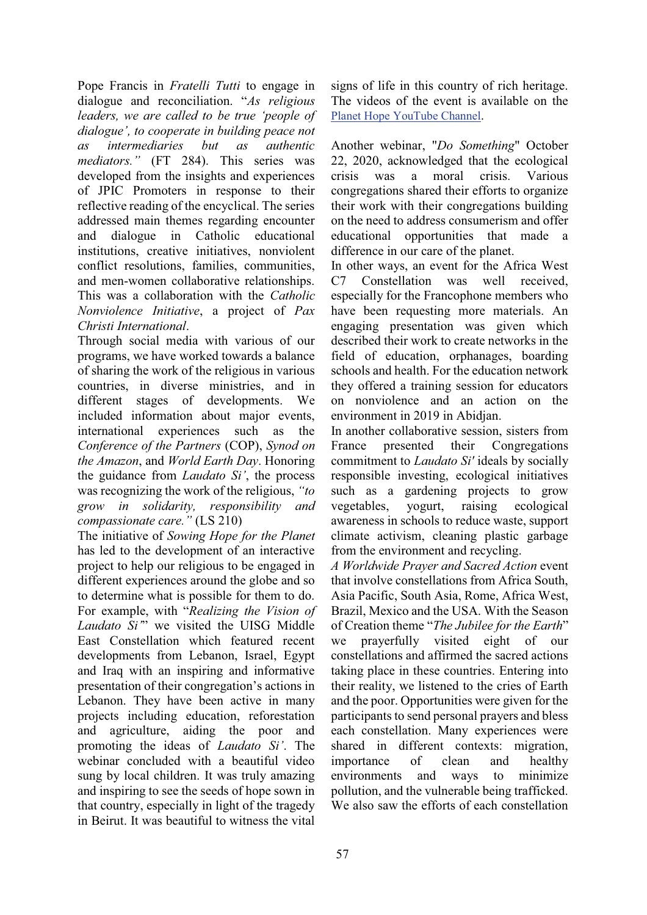Pope Francis in *Fratelli Tutti* to engage in dialogue and reconciliation. "As religious *leaders, we are called to be true 'people of dialogue', to cooperate in building peace not as intermediaries but as authentic mediators.*" (FT 284). This series was developed from the insights and experiences of JPIC Promoters in response to their reflective reading of the encyclical. The series addressed main themes regarding encounter and dialogue in Catholic educational institutions, creative initiatives, nonviolent conflict resolutions, families, communities, and men-women collaborative relationships. This was a collaboration with the *Catholic Nonviolence Initiative*, a project of *Pax Christi International*.

Through social media with various of our programs, we have worked towards a balance of sharing the work of the religious in various countries, in diverse ministries, and in different stages of developments. We included information about major events, international experiences such as the *Conference of the Partners* (COP), *Synod on the Amazon*, and *World Earth Day*. Honoring the guidance from *Laudato Si'*, the process was recognizing the work of the religious, "*to grow in solidarity, responsibility and compassionate care.*" (LS 210)

The initiative of *Sowing Hope for the Planet* has led to the development of an interactive project to help our religious to be engaged in different experiences around the globe and so to determine what is possible for them to do. For example, with "Realizing the Vision of *Laudato Si*" we visited the UISG Middle East Constellation which featured recent developments from Lebanon, Israel, Egypt and Iraq with an inspiring and informative presentation of their congregation's actions in Lebanon. They have been active in many projects including education, reforestation and agriculture, aiding the poor and promoting the ideas of *Laudato Si'*. The webinar concluded with a beautiful video sung by local children. It was truly amazing and inspiring to see the seeds of hope sown in that country, especially in light of the tragedy in Beirut. It was beautiful to witness the vital

signs of life in this country of rich heritage. The videos of the event is available on the Planet Hope YouTube Channel.

Another webinar, "*Do Something*" October 22, 2020, acknowledged that the ecological crisis was a moral crisis. Various congregations shared their efforts to organize their work with their congregations building on the need to address consumerism and offer educational opportunities that made a difference in our care of the planet.

In other ways, an event for the Africa West C7 Constellation was well received, especially for the Francophone members who have been requesting more materials. An engaging presentation was given which described their work to create networks in the field of education, orphanages, boarding schools and health. For the education network they offered a training session for educators on nonviolence and an action on the environment in 2019 in Abidjan.

In another collaborative session, sisters from France presented their Congregations commitment to *Laudato Si'* ideals by socially responsible investing, ecological initiatives such as a gardening projects to grow vegetables, yogurt, raising ecological awareness in schools to reduce waste, support climate activism, cleaning plastic garbage from the environment and recycling.

*A Worldwide Prayer and Sacred Action* event that involve constellations from Africa South, Asia Pacific, South Asia, Rome, Africa West, Brazil, Mexico and the USA. With the Season of Creation theme "The Jubilee for the Earth" we prayerfully visited eight of our constellations and affirmed the sacred actions taking place in these countries. Entering into their reality, we listened to the cries of Earth and the poor. Opportunities were given for the participants to send personal prayers and bless each constellation. Many experiences were shared in different contexts: migration, importance of clean and healthy environments and ways to minimize pollution, and the vulnerable being trafficked. We also saw the efforts of each constellation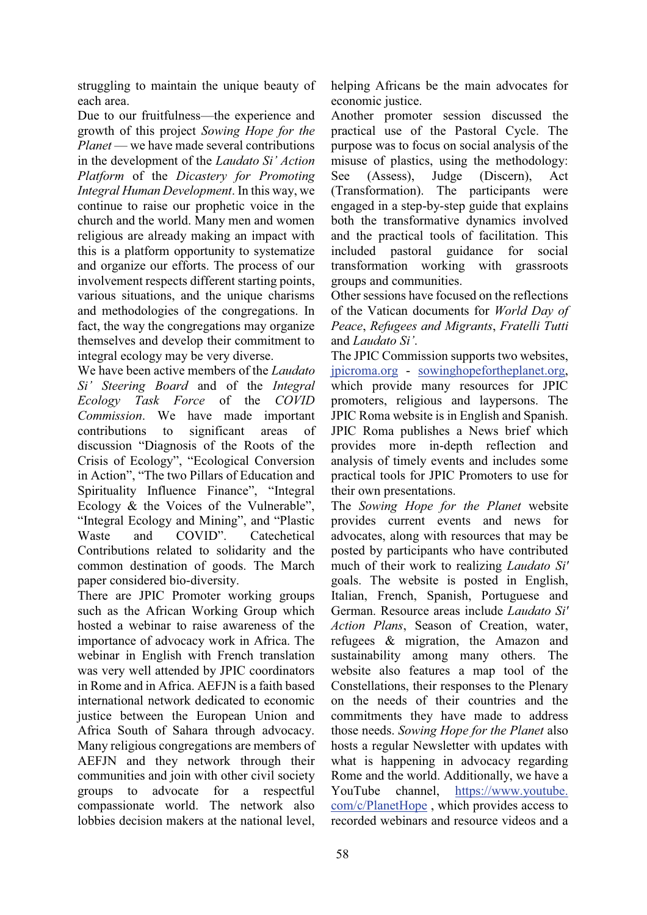struggling to maintain the unique beauty of each area.

Due to our fruitfulness—the experience and growth of this project *Sowing Hope for the Planet* — we have made several contributions in the development of the *Laudato Si' Action Platform* of the *Dicastery for Promoting Integral Human Development*. In this way, we continue to raise our prophetic voice in the church and the world. Many men and women religious are already making an impact with this is a platform opportunity to systematize and organize our efforts. The process of our involvement respects different starting points, various situations, and the unique charisms and methodologies of the congregations. In fact, the way the congregations may organize themselves and develop their commitment to integral ecology may be very diverse.

We have been active members of the *Laudato Si' Steering Board* and of the *Integral Ecology Task Force* of the *COVID Commission*. We have made important contributions to significant areas of discussion "Diagnosis of the Roots of the Crisis of Ecology", "Ecological Conversion in Action", "The two Pillars of Education and Spirituality Influence Finance", "Integral Ecology  $\&$  the Voices of the Vulnerable". "Integral Ecology and Mining", and "Plastic Waste and COVID". Catechetical Contributions related to solidarity and the common destination of goods. The March paper considered bio-diversity.

There are JPIC Promoter working groups such as the African Working Group which hosted a webinar to raise awareness of the importance of advocacy work in Africa. The webinar in English with French translation was very well attended by JPIC coordinators in Rome and in Africa. AEFJN is a faith based international network dedicated to economic justice between the European Union and Africa South of Sahara through advocacy. Many religious congregations are members of AEFJN and they network through their communities and join with other civil society groups to advocate for a respectful compassionate world. The network also lobbies decision makers at the national level,

helping Africans be the main advocates for economic justice.

Another promoter session discussed the practical use of the Pastoral Cycle. The purpose was to focus on social analysis of the misuse of plastics, using the methodology: See (Assess), Judge (Discern), Act (Transformation). The participants were engaged in a step-by-step guide that explains both the transformative dynamics involved and the practical tools of facilitation. This included pastoral guidance for social transformation working with grassroots groups and communities.

Other sessions have focused on the reflections of the Vatican documents for *World Day of Peace*, *Refugees and Migrants*, *Fratelli Tutti* and *Laudato Si'.* 

The JPIC Commission supports two websites, jpicroma.org - sowinghopefortheplanet.org, which provide many resources for JPIC promoters, religious and laypersons. The JPIC Roma website is in English and Spanish. JPIC Roma publishes a News brief which provides more in-depth reflection and analysis of timely events and includes some practical tools for JPIC Promoters to use for their own presentations.

The *Sowing Hope for the Planet* website provides current events and news for advocates, along with resources that may be posted by participants who have contributed much of their work to realizing *Laudato Si'* goals. The website is posted in English, Italian, French, Spanish, Portuguese and German. Resource areas include *Laudato Si' Action Plans*, Season of Creation, water, refugees & migration, the Amazon and sustainability among many others. The website also features a map tool of the Constellations, their responses to the Plenary on the needs of their countries and the commitments they have made to address those needs. *Sowing Hope for the Planet* also hosts a regular Newsletter with updates with what is happening in advocacy regarding Rome and the world. Additionally, we have a YouTube channel, https://www.youtube. com/c/PlanetHope , which provides access to recorded webinars and resource videos and a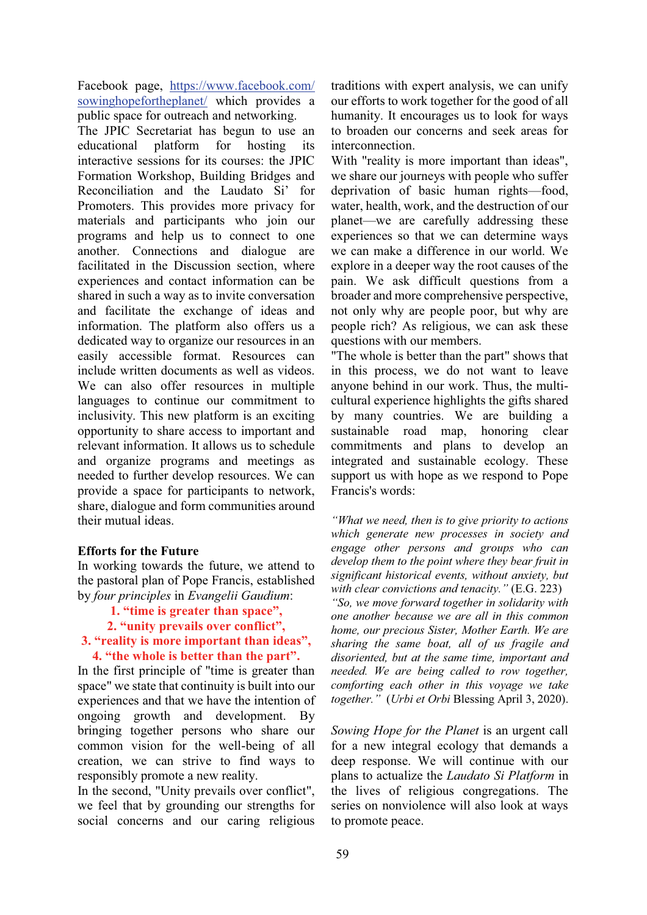Facebook page, https://www.facebook.com/ sowinghopefortheplanet/ which provides a public space for outreach and networking.

The JPIC Secretariat has begun to use an educational platform for hosting its interactive sessions for its courses: the JPIC Formation Workshop, Building Bridges and Reconciliation and the Laudato Si' for Promoters. This provides more privacy for materials and participants who join our programs and help us to connect to one another. Connections and dialogue are facilitated in the Discussion section, where experiences and contact information can be shared in such a way as to invite conversation and facilitate the exchange of ideas and information. The platform also offers us a dedicated way to organize our resources in an easily accessible format. Resources can include written documents as well as videos. We can also offer resources in multiple languages to continue our commitment to inclusivity. This new platform is an exciting opportunity to share access to important and relevant information. It allows us to schedule and organize programs and meetings as needed to further develop resources. We can provide a space for participants to network, share, dialogue and form communities around their mutual ideas.

### **Efforts for the Future**

In working towards the future, we attend to the pastoral plan of Pope Francis, established by *four principles* in *Evangelii Gaudium*:

- **1.** "time is greater than space",
- **2.** "unity prevails over conflict".

### **3.** "reality is more important than ideas", **4.** "the whole is better than the part".

In the first principle of "time is greater than space" we state that continuity is built into our experiences and that we have the intention of ongoing growth and development. By bringing together persons who share our common vision for the well-being of all creation, we can strive to find ways to responsibly promote a new reality.

In the second, "Unity prevails over conflict", we feel that by grounding our strengths for social concerns and our caring religious traditions with expert analysis, we can unify our efforts to work together for the good of all humanity. It encourages us to look for ways to broaden our concerns and seek areas for interconnection.

With "reality is more important than ideas", we share our journeys with people who suffer deprivation of basic human rights-food, water, health, work, and the destruction of our planet—we are carefully addressing these experiences so that we can determine ways we can make a difference in our world. We explore in a deeper way the root causes of the pain. We ask difficult questions from a broader and more comprehensive perspective, not only why are people poor, but why are people rich? As religious, we can ask these questions with our members.

"The whole is better than the part" shows that in this process, we do not want to leave anyone behind in our work. Thus, the multicultural experience highlights the gifts shared by many countries. We are building a sustainable road map, honoring clear commitments and plans to develop an integrated and sustainable ecology. These support us with hope as we respond to Pope Francis's words:

*ii* What we need, then is to give priority to actions *which generate new processes in society and engage other persons and groups who can develop them to the point where they bear fruit in significant historical events, without anxiety, but With clear convictions and tenacity.* " (E.G. 223)

*³So, we move forward together in solidarity with one another because we are all in this common home, our precious Sister, Mother Earth. We are sharing the same boat, all of us fragile and disoriented, but at the same time, important and needed. We are being called to row together, comforting each other in this voyage we take together.*" *(Urbi et Orbi* Blessing April 3, 2020).

*Sowing Hope for the Planet* is an urgent call for a new integral ecology that demands a deep response. We will continue with our plans to actualize the *Laudato Si Platform* in the lives of religious congregations. The series on nonviolence will also look at ways to promote peace.